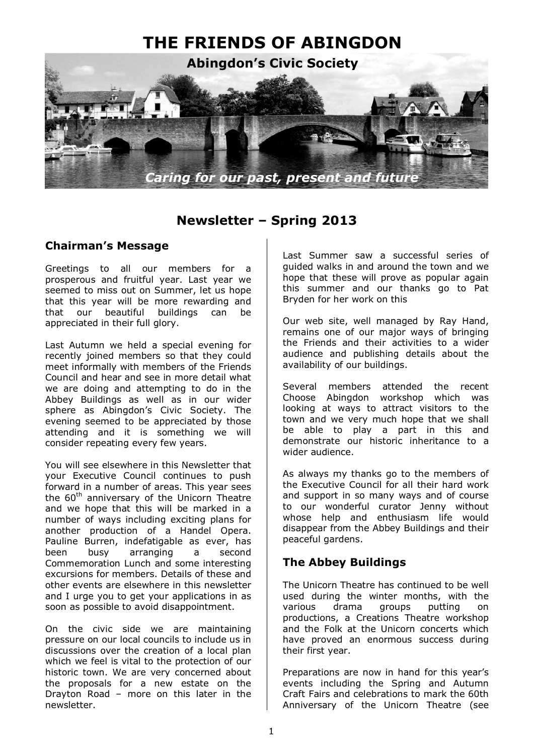

# **Newsletter – Spring 2013**

### **Chairman's Message**

Greetings to all our members for a prosperous and fruitful year. Last year we seemed to miss out on Summer, let us hope that this year will be more rewarding and that our beautiful buildings can be appreciated in their full glory.

Last Autumn we held a special evening for recently joined members so that they could meet informally with members of the Friends Council and hear and see in more detail what we are doing and attempting to do in the Abbey Buildings as well as in our wider sphere as Abingdon's Civic Society. The evening seemed to be appreciated by those attending and it is something we will consider repeating every few years.

You will see elsewhere in this Newsletter that your Executive Council continues to push forward in a number of areas. This year sees the  $60<sup>th</sup>$  anniversary of the Unicorn Theatre and we hope that this will be marked in a number of ways including exciting plans for another production of a Handel Opera. Pauline Burren, indefatigable as ever, has been busy arranging a second Commemoration Lunch and some interesting excursions for members. Details of these and other events are elsewhere in this newsletter and I urge you to get your applications in as soon as possible to avoid disappointment.

On the civic side we are maintaining pressure on our local councils to include us in discussions over the creation of a local plan which we feel is vital to the protection of our historic town. We are very concerned about the proposals for a new estate on the Drayton Road – more on this later in the newsletter.

Last Summer saw a successful series of guided walks in and around the town and we hope that these will prove as popular again this summer and our thanks go to Pat Bryden for her work on this

Our web site, well managed by Ray Hand, remains one of our major ways of bringing the Friends and their activities to a wider audience and publishing details about the availability of our buildings.

Several members attended the recent Choose Abingdon workshop which was looking at ways to attract visitors to the town and we very much hope that we shall be able to play a part in this and demonstrate our historic inheritance to a wider audience.

As always my thanks go to the members of the Executive Council for all their hard work and support in so many ways and of course to our wonderful curator Jenny without whose help and enthusiasm life would disappear from the Abbey Buildings and their peaceful gardens.

### **The Abbey Buildings**

The Unicorn Theatre has continued to be well used during the winter months, with the various drama groups putting on productions, a Creations Theatre workshop and the Folk at the Unicorn concerts which have proved an enormous success during their first year.

Preparations are now in hand for this year's events including the Spring and Autumn Craft Fairs and celebrations to mark the 60th Anniversary of the Unicorn Theatre (see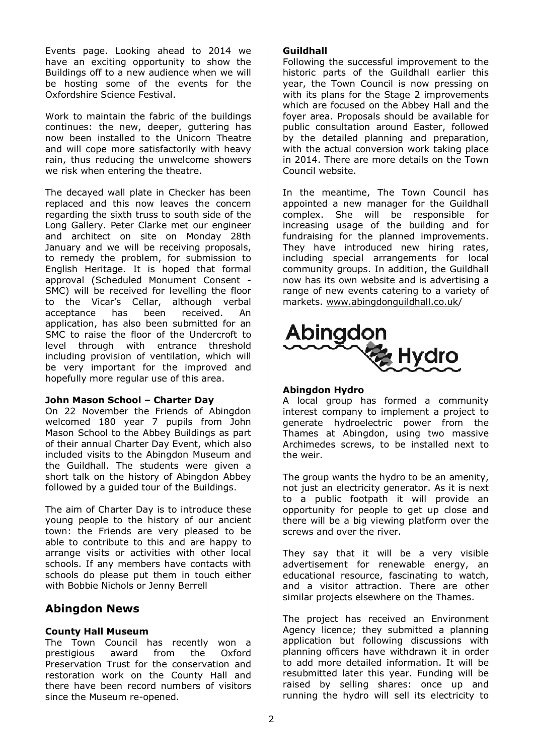Events page. Looking ahead to 2014 we have an exciting opportunity to show the Buildings off to a new audience when we will be hosting some of the events for the Oxfordshire Science Festival.

Work to maintain the fabric of the buildings continues: the new, deeper, guttering has now been installed to the Unicorn Theatre and will cope more satisfactorily with heavy rain, thus reducing the unwelcome showers we risk when entering the theatre.

The decayed wall plate in Checker has been replaced and this now leaves the concern regarding the sixth truss to south side of the Long Gallery. Peter Clarke met our engineer and architect on site on Monday 28th January and we will be receiving proposals, to remedy the problem, for submission to English Heritage. It is hoped that formal approval (Scheduled Monument Consent - SMC) will be received for levelling the floor to the Vicar's Cellar, although verbal acceptance has been received. An application, has also been submitted for an SMC to raise the floor of the Undercroft to level through with entrance threshold including provision of ventilation, which will be very important for the improved and hopefully more regular use of this area.

#### **John Mason School – Charter Day**

On 22 November the Friends of Abingdon welcomed 180 year 7 pupils from John Mason School to the Abbey Buildings as part of their annual Charter Day Event, which also included visits to the Abingdon Museum and the Guildhall. The students were given a short talk on the history of Abingdon Abbey followed by a guided tour of the Buildings.

The aim of Charter Day is to introduce these young people to the history of our ancient town: the Friends are very pleased to be able to contribute to this and are happy to arrange visits or activities with other local schools. If any members have contacts with schools do please put them in touch either with Bobbie Nichols or Jenny Berrell

### **Abingdon News**

#### **County Hall Museum**

The Town Council has recently won a prestigious award from the Oxford Preservation Trust for the conservation and restoration work on the County Hall and there have been record numbers of visitors since the Museum re-opened.

#### **Guildhall**

Following the successful improvement to the historic parts of the Guildhall earlier this year, the Town Council is now pressing on with its plans for the Stage 2 improvements which are focused on the Abbey Hall and the foyer area. Proposals should be available for public consultation around Easter, followed by the detailed planning and preparation, with the actual conversion work taking place in 2014. There are more details on the Town Council website.

In the meantime, The Town Council has appointed a new manager for the Guildhall complex. She will be responsible for increasing usage of the building and for fundraising for the planned improvements. They have introduced new hiring rates, including special arrangements for local community groups. In addition, the Guildhall now has its own website and is advertising a range of new events catering to a variety of markets. www.abingdonguildhall.co.uk/



#### **Abingdon Hydro**

A local group has formed a community interest company to implement a project to generate hydroelectric power from the Thames at Abingdon, using two massive Archimedes screws, to be installed next to the weir.

The group wants the hydro to be an amenity, not just an electricity generator. As it is next to a public footpath it will provide an opportunity for people to get up close and there will be a big viewing platform over the screws and over the river.

They say that it will be a very visible advertisement for renewable energy, an educational resource, fascinating to watch, and a visitor attraction. There are other similar projects elsewhere on the Thames.

The project has received an Environment Agency licence; they submitted a planning application but following discussions with planning officers have withdrawn it in order to add more detailed information. It will be resubmitted later this year. Funding will be raised by selling shares: once up and running the hydro will sell its electricity to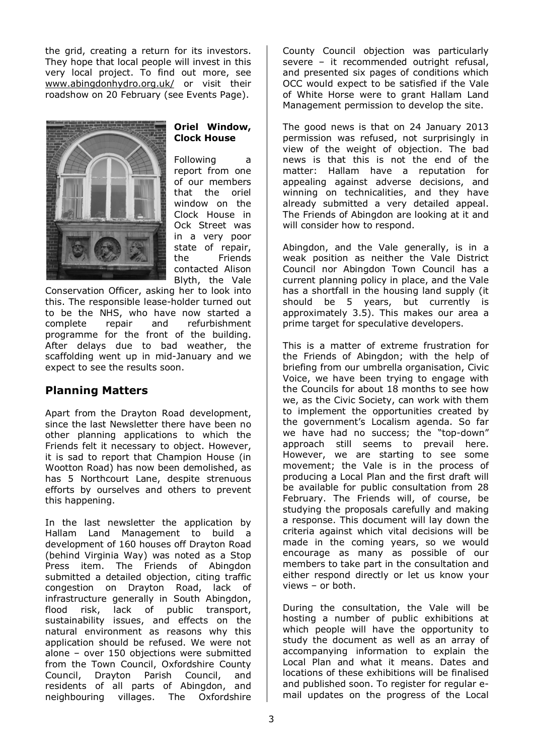the grid, creating a return for its investors. They hope that local people will invest in this very local project. To find out more, see www.abingdonhydro.org.uk/ or visit their roadshow on 20 February (see Events Page).



#### **Oriel Window, Clock House**

Following a report from one of our members that the oriel window on the Clock House in Ock Street was in a very poor state of repair, the Friends contacted Alison Blyth, the Vale

Conservation Officer, asking her to look into this. The responsible lease-holder turned out to be the NHS, who have now started a complete repair and refurbishment programme for the front of the building. After delays due to bad weather, the scaffolding went up in mid-January and we expect to see the results soon.

## **Planning Matters**

Apart from the Drayton Road development, since the last Newsletter there have been no other planning applications to which the Friends felt it necessary to object. However, it is sad to report that Champion House (in Wootton Road) has now been demolished, as has 5 Northcourt Lane, despite strenuous efforts by ourselves and others to prevent this happening.

In the last newsletter the application by Hallam Land Management to build a development of 160 houses off Drayton Road (behind Virginia Way) was noted as a Stop Press item. The Friends of Abingdon submitted a detailed objection, citing traffic congestion on Drayton Road, lack of infrastructure generally in South Abingdon, flood risk, lack of public transport, sustainability issues, and effects on the natural environment as reasons why this application should be refused. We were not alone – over 150 objections were submitted from the Town Council, Oxfordshire County Council, Drayton Parish Council, and residents of all parts of Abingdon, and neighbouring villages. The Oxfordshire County Council objection was particularly severe – it recommended outright refusal, and presented six pages of conditions which OCC would expect to be satisfied if the Vale of White Horse were to grant Hallam Land Management permission to develop the site.

The good news is that on 24 January 2013 permission was refused, not surprisingly in view of the weight of objection. The bad news is that this is not the end of the matter: Hallam have a reputation for appealing against adverse decisions, and winning on technicalities, and they have already submitted a very detailed appeal. The Friends of Abingdon are looking at it and will consider how to respond.

Abingdon, and the Vale generally, is in a weak position as neither the Vale District Council nor Abingdon Town Council has a current planning policy in place, and the Vale has a shortfall in the housing land supply (it should be 5 years, but currently is approximately 3.5). This makes our area a prime target for speculative developers.

This is a matter of extreme frustration for the Friends of Abingdon; with the help of briefing from our umbrella organisation, Civic Voice, we have been trying to engage with the Councils for about 18 months to see how we, as the Civic Society, can work with them to implement the opportunities created by the government's Localism agenda. So far we have had no success; the "top-down" approach still seems to prevail here. However, we are starting to see some movement; the Vale is in the process of producing a Local Plan and the first draft will be available for public consultation from 28 February. The Friends will, of course, be studying the proposals carefully and making a response. This document will lay down the criteria against which vital decisions will be made in the coming years, so we would encourage as many as possible of our members to take part in the consultation and either respond directly or let us know your views – or both.

During the consultation, the Vale will be hosting a number of public exhibitions at which people will have the opportunity to study the document as well as an array of accompanying information to explain the Local Plan and what it means. Dates and locations of these exhibitions will be finalised and published soon. To register for regular email updates on the progress of the Local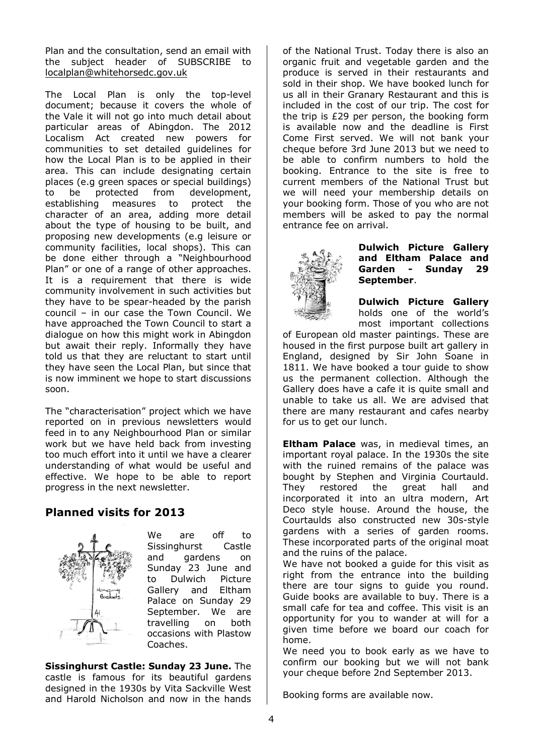Plan and the consultation, send an email with the subject header of SUBSCRIBE to localplan@whitehorsedc.gov.uk

The Local Plan is only the top-level document; because it covers the whole of the Vale it will not go into much detail about particular areas of Abingdon. The 2012 Localism Act created new powers for communities to set detailed guidelines for how the Local Plan is to be applied in their area. This can include designating certain places (e.g green spaces or special buildings) to be protected from development, establishing measures to protect the character of an area, adding more detail about the type of housing to be built, and proposing new developments (e.g leisure or community facilities, local shops). This can be done either through a "Neighbourhood Plan" or one of a range of other approaches. It is a requirement that there is wide community involvement in such activities but they have to be spear-headed by the parish council – in our case the Town Council. We have approached the Town Council to start a dialogue on how this might work in Abingdon but await their reply. Informally they have told us that they are reluctant to start until they have seen the Local Plan, but since that is now imminent we hope to start discussions soon.

The "characterisation" project which we have reported on in previous newsletters would feed in to any Neighbourhood Plan or similar work but we have held back from investing too much effort into it until we have a clearer understanding of what would be useful and effective. We hope to be able to report progress in the next newsletter.

### **Planned visits for 2013**



We are off to Sissinghurst Castle and gardens on Sunday 23 June and to Dulwich Picture Gallery and Eltham Palace on Sunday 29 September. We are travelling on both occasions with Plastow Coaches.

**Sissinghurst Castle: Sunday 23 June.** The castle is famous for its beautiful gardens designed in the 1930s by Vita Sackville West and Harold Nicholson and now in the hands

of the National Trust. Today there is also an organic fruit and vegetable garden and the produce is served in their restaurants and sold in their shop. We have booked lunch for us all in their Granary Restaurant and this is included in the cost of our trip. The cost for the trip is £29 per person, the booking form is available now and the deadline is First Come First served. We will not bank your cheque before 3rd June 2013 but we need to be able to confirm numbers to hold the booking. Entrance to the site is free to current members of the National Trust but we will need your membership details on your booking form. Those of you who are not members will be asked to pay the normal entrance fee on arrival.



#### **Dulwich Picture Gallery and Eltham Palace and Garden - Sunday 29 September**.

**Dulwich Picture Gallery** holds one of the world's most important collections

of European old master paintings. These are housed in the first purpose built art gallery in England, designed by Sir John Soane in 1811. We have booked a tour guide to show us the permanent collection. Although the Gallery does have a cafe it is quite small and unable to take us all. We are advised that there are many restaurant and cafes nearby for us to get our lunch.

**Eltham Palace** was, in medieval times, an important royal palace. In the 1930s the site with the ruined remains of the palace was bought by Stephen and Virginia Courtauld. They restored the great hall and incorporated it into an ultra modern, Art Deco style house. Around the house, the Courtaulds also constructed new 30s-style gardens with a series of garden rooms. These incorporated parts of the original moat and the ruins of the palace.

We have not booked a quide for this visit as right from the entrance into the building there are tour signs to guide you round. Guide books are available to buy. There is a small cafe for tea and coffee. This visit is an opportunity for you to wander at will for a given time before we board our coach for home.

We need you to book early as we have to confirm our booking but we will not bank your cheque before 2nd September 2013.

Booking forms are available now.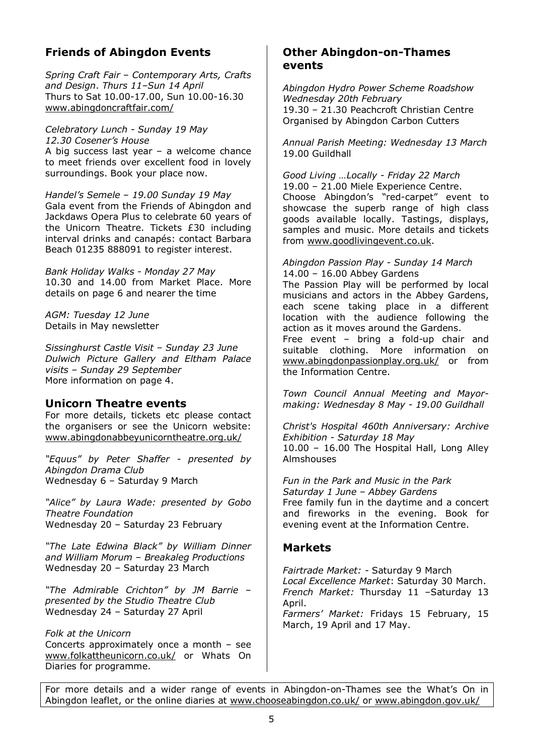## **Friends of Abingdon Events**

*Spring Craft Fair – Contemporary Arts, Crafts and Design*. *Thurs 11–Sun 14 April* Thurs to Sat 10.00-17.00, Sun 10.00-16.30 www.abingdoncraftfair.com/

*Celebratory Lunch - Sunday 19 May 12.30 Cosener's House*  A big success last year – a welcome chance to meet friends over excellent food in lovely surroundings. Book your place now.

*Handel's Semele – 19.00 Sunday 19 May*  Gala event from the Friends of Abingdon and Jackdaws Opera Plus to celebrate 60 years of the Unicorn Theatre. Tickets £30 including interval drinks and canapés: contact Barbara Beach 01235 888091 to register interest.

*Bank Holiday Walks - Monday 27 May*  10.30 and 14.00 from Market Place. More details on page 6 and nearer the time

*AGM: Tuesday 12 June*  Details in May newsletter

*Sissinghurst Castle Visit – Sunday 23 June Dulwich Picture Gallery and Eltham Palace visits – Sunday 29 September*  More information on page 4.

### **Unicorn Theatre events**

For more details, tickets etc please contact the organisers or see the Unicorn website: www.abingdonabbeyunicorntheatre.org.uk/

*"Equus" by Peter Shaffer - presented by Abingdon Drama Club*  Wednesday 6 – Saturday 9 March

*"Alice" by Laura Wade: presented by Gobo Theatre Foundation*  Wednesday 20 – Saturday 23 February

*"The Late Edwina Black" by William Dinner and William Morum – Breakaleg Productions*  Wednesday 20 – Saturday 23 March

*"The Admirable Crichton" by JM Barrie – presented by the Studio Theatre Club*  Wednesday 24 – Saturday 27 April

*Folk at the Unicorn*  Concerts approximately once a month – see www.folkattheunicorn.co.uk/ or Whats On Diaries for programme.

### **Other Abingdon-on-Thames events**

*Abingdon Hydro Power Scheme Roadshow Wednesday 20th February* 19.30 – 21.30 Peachcroft Christian Centre Organised by Abingdon Carbon Cutters

*Annual Parish Meeting: Wednesday 13 March*  19.00 Guildhall

*Good Living …Locally - Friday 22 March*  19.00 – 21.00 Miele Experience Centre. Choose Abingdon's "red-carpet" event to showcase the superb range of high class goods available locally. Tastings, displays, samples and music. More details and tickets from www.goodlivingevent.co.uk.

*Abingdon Passion Play - Sunday 14 March*  14.00 – 16.00 Abbey Gardens The Passion Play will be performed by local musicians and actors in the Abbey Gardens, each scene taking place in a different location with the audience following the action as it moves around the Gardens. Free event – bring a fold-up chair and suitable clothing. More information on www.abingdonpassionplay.org.uk/ or from the Information Centre.

*Town Council Annual Meeting and Mayormaking: Wednesday 8 May - 19.00 Guildhall* 

*Christ's Hospital 460th Anniversary: Archive Exhibition - Saturday 18 May*  10.00 – 16.00 The Hospital Hall, Long Alley **Almshouses** 

*Fun in the Park and Music in the Park Saturday 1 June – Abbey Gardens*  Free family fun in the daytime and a concert and fireworks in the evening. Book for evening event at the Information Centre.

### **Markets**

*Fairtrade Market: -* Saturday 9 March *Local Excellence Market*: Saturday 30 March. *French Market:* Thursday 11 –Saturday 13 April. *Farmers' Market:* Fridays 15 February, 15

March, 19 April and 17 May.

For more details and a wider range of events in Abingdon-on-Thames see the What's On in Abingdon leaflet, or the online diaries at www.chooseabingdon.co.uk/ or www.abingdon.gov.uk/